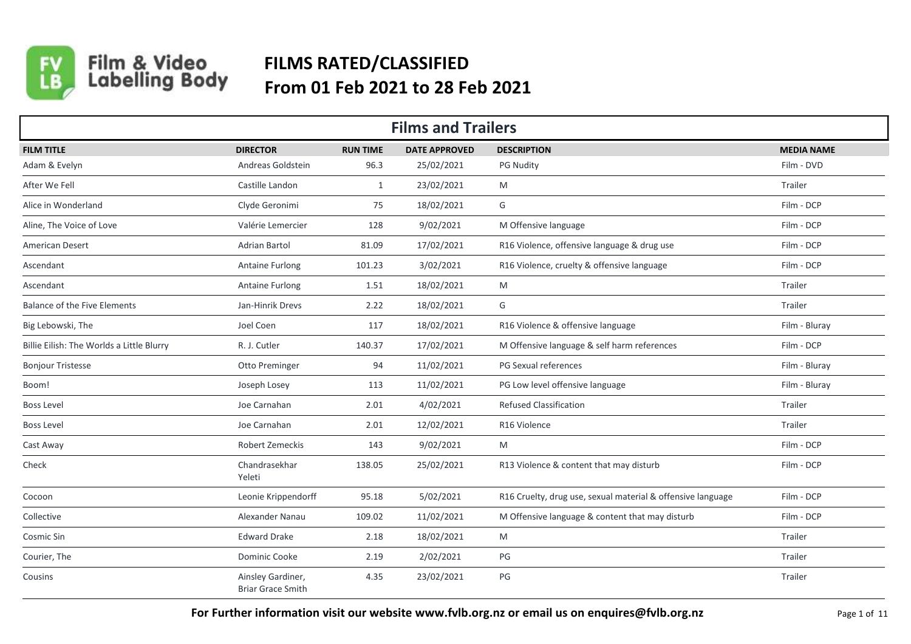

## Film & Video<br>Labelling Body **FILMS RATED/CLASSIFIED From 01 Feb 2021 to 28 Feb 2021**

| <b>Films and Trailers</b>                 |                                               |                 |                      |                                                             |                   |  |
|-------------------------------------------|-----------------------------------------------|-----------------|----------------------|-------------------------------------------------------------|-------------------|--|
| <b>FILM TITLE</b>                         | <b>DIRECTOR</b>                               | <b>RUN TIME</b> | <b>DATE APPROVED</b> | <b>DESCRIPTION</b>                                          | <b>MEDIA NAME</b> |  |
| Adam & Evelyn                             | Andreas Goldstein                             | 96.3            | 25/02/2021           | <b>PG Nudity</b>                                            | Film - DVD        |  |
| After We Fell                             | Castille Landon                               | 1               | 23/02/2021           | M                                                           | Trailer           |  |
| Alice in Wonderland                       | Clyde Geronimi                                | 75              | 18/02/2021           | G                                                           | Film - DCP        |  |
| Aline, The Voice of Love                  | Valérie Lemercier                             | 128             | 9/02/2021            | M Offensive language                                        | Film - DCP        |  |
| American Desert                           | Adrian Bartol                                 | 81.09           | 17/02/2021           | R16 Violence, offensive language & drug use                 | Film - DCP        |  |
| Ascendant                                 | <b>Antaine Furlong</b>                        | 101.23          | 3/02/2021            | R16 Violence, cruelty & offensive language                  | Film - DCP        |  |
| Ascendant                                 | Antaine Furlong                               | 1.51            | 18/02/2021           | M                                                           | Trailer           |  |
| Balance of the Five Elements              | Jan-Hinrik Drevs                              | 2.22            | 18/02/2021           | G                                                           | Trailer           |  |
| Big Lebowski, The                         | Joel Coen                                     | 117             | 18/02/2021           | R16 Violence & offensive language                           | Film - Bluray     |  |
| Billie Eilish: The Worlds a Little Blurry | R. J. Cutler                                  | 140.37          | 17/02/2021           | M Offensive language & self harm references                 | Film - DCP        |  |
| <b>Bonjour Tristesse</b>                  | Otto Preminger                                | 94              | 11/02/2021           | PG Sexual references                                        | Film - Bluray     |  |
| Boom!                                     | Joseph Losey                                  | 113             | 11/02/2021           | PG Low level offensive language                             | Film - Bluray     |  |
| <b>Boss Level</b>                         | Joe Carnahan                                  | 2.01            | 4/02/2021            | <b>Refused Classification</b>                               | Trailer           |  |
| <b>Boss Level</b>                         | Joe Carnahan                                  | 2.01            | 12/02/2021           | R16 Violence                                                | Trailer           |  |
| Cast Away                                 | <b>Robert Zemeckis</b>                        | 143             | 9/02/2021            | M                                                           | Film - DCP        |  |
| Check                                     | Chandrasekhar<br>Yeleti                       | 138.05          | 25/02/2021           | R13 Violence & content that may disturb                     | Film - DCP        |  |
| Cocoon                                    | Leonie Krippendorff                           | 95.18           | 5/02/2021            | R16 Cruelty, drug use, sexual material & offensive language | Film - DCP        |  |
| Collective                                | Alexander Nanau                               | 109.02          | 11/02/2021           | M Offensive language & content that may disturb             | Film - DCP        |  |
| Cosmic Sin                                | <b>Edward Drake</b>                           | 2.18            | 18/02/2021           | M                                                           | Trailer           |  |
| Courier, The                              | Dominic Cooke                                 | 2.19            | 2/02/2021            | PG                                                          | Trailer           |  |
| Cousins                                   | Ainsley Gardiner,<br><b>Briar Grace Smith</b> | 4.35            | 23/02/2021           | PG                                                          | Trailer           |  |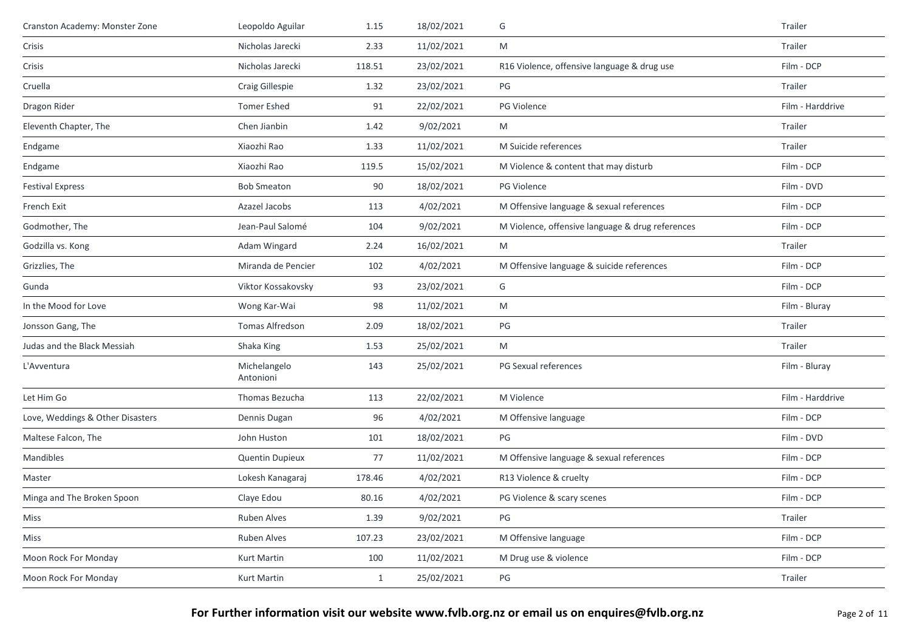| Cranston Academy: Monster Zone   | Leopoldo Aguilar          | 1.15         | 18/02/2021 | G                                                | Trailer          |
|----------------------------------|---------------------------|--------------|------------|--------------------------------------------------|------------------|
| Crisis                           | Nicholas Jarecki          | 2.33         | 11/02/2021 | M                                                | Trailer          |
| Crisis                           | Nicholas Jarecki          | 118.51       | 23/02/2021 | R16 Violence, offensive language & drug use      | Film - DCP       |
| Cruella                          | Craig Gillespie           | 1.32         | 23/02/2021 | PG                                               | Trailer          |
| Dragon Rider                     | <b>Tomer Eshed</b>        | 91           | 22/02/2021 | PG Violence                                      | Film - Harddrive |
| Eleventh Chapter, The            | Chen Jianbin              | 1.42         | 9/02/2021  | M                                                | Trailer          |
| Endgame                          | Xiaozhi Rao               | 1.33         | 11/02/2021 | M Suicide references                             | Trailer          |
| Endgame                          | Xiaozhi Rao               | 119.5        | 15/02/2021 | M Violence & content that may disturb            | Film - DCP       |
| <b>Festival Express</b>          | <b>Bob Smeaton</b>        | 90           | 18/02/2021 | PG Violence                                      | Film - DVD       |
| French Exit                      | Azazel Jacobs             | 113          | 4/02/2021  | M Offensive language & sexual references         | Film - DCP       |
| Godmother, The                   | Jean-Paul Salomé          | 104          | 9/02/2021  | M Violence, offensive language & drug references | Film - DCP       |
| Godzilla vs. Kong                | Adam Wingard              | 2.24         | 16/02/2021 | M                                                | Trailer          |
| Grizzlies, The                   | Miranda de Pencier        | 102          | 4/02/2021  | M Offensive language & suicide references        | Film - DCP       |
| Gunda                            | Viktor Kossakovsky        | 93           | 23/02/2021 | G                                                | Film - DCP       |
| In the Mood for Love             | Wong Kar-Wai              | 98           | 11/02/2021 | M                                                | Film - Bluray    |
| Jonsson Gang, The                | Tomas Alfredson           | 2.09         | 18/02/2021 | $PG$                                             | Trailer          |
| Judas and the Black Messiah      | Shaka King                | 1.53         | 25/02/2021 | M                                                | Trailer          |
| L'Avventura                      | Michelangelo<br>Antonioni | 143          | 25/02/2021 | PG Sexual references                             | Film - Bluray    |
| Let Him Go                       | Thomas Bezucha            | 113          | 22/02/2021 | M Violence                                       | Film - Harddrive |
| Love, Weddings & Other Disasters | Dennis Dugan              | 96           | 4/02/2021  | M Offensive language                             | Film - DCP       |
| Maltese Falcon, The              | John Huston               | 101          | 18/02/2021 | PG                                               | Film - DVD       |
| Mandibles                        | Quentin Dupieux           | 77           | 11/02/2021 | M Offensive language & sexual references         | Film - DCP       |
| Master                           | Lokesh Kanagaraj          | 178.46       | 4/02/2021  | R13 Violence & cruelty                           | Film - DCP       |
| Minga and The Broken Spoon       | Claye Edou                | 80.16        | 4/02/2021  | PG Violence & scary scenes                       | Film - DCP       |
| Miss                             | Ruben Alves               | 1.39         | 9/02/2021  | PG                                               | Trailer          |
| Miss                             | Ruben Alves               | 107.23       | 23/02/2021 | M Offensive language                             | Film - DCP       |
| Moon Rock For Monday             | Kurt Martin               | 100          | 11/02/2021 | M Drug use & violence                            | Film - DCP       |
| Moon Rock For Monday             | Kurt Martin               | $\mathbf{1}$ | 25/02/2021 | $\mathsf{PG}$                                    | Trailer          |
|                                  |                           |              |            |                                                  |                  |

**For Further information visit our website www.fvlb.org.nz or email us on enquires@fvlb.org.nz** Page 2 of 11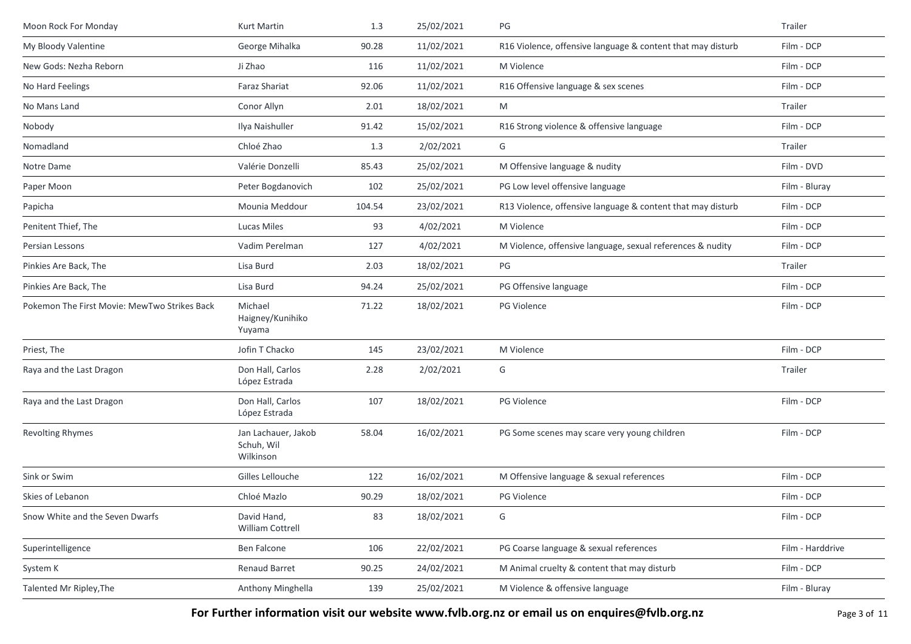| Moon Rock For Monday                         | Kurt Martin                                    | 1.3    | 25/02/2021 | PG                                                          | Trailer          |
|----------------------------------------------|------------------------------------------------|--------|------------|-------------------------------------------------------------|------------------|
| My Bloody Valentine                          | George Mihalka                                 | 90.28  | 11/02/2021 | R16 Violence, offensive language & content that may disturb | Film - DCP       |
| New Gods: Nezha Reborn                       | Ji Zhao                                        | 116    | 11/02/2021 | M Violence                                                  | Film - DCP       |
| No Hard Feelings                             | <b>Faraz Shariat</b>                           | 92.06  | 11/02/2021 | R16 Offensive language & sex scenes                         | Film - DCP       |
| No Mans Land                                 | Conor Allyn                                    | 2.01   | 18/02/2021 | M                                                           | Trailer          |
| Nobody                                       | Ilya Naishuller                                | 91.42  | 15/02/2021 | R16 Strong violence & offensive language                    | Film - DCP       |
| Nomadland                                    | Chloé Zhao                                     | 1.3    | 2/02/2021  | G                                                           | Trailer          |
| Notre Dame                                   | Valérie Donzelli                               | 85.43  | 25/02/2021 | M Offensive language & nudity                               | Film - DVD       |
| Paper Moon                                   | Peter Bogdanovich                              | 102    | 25/02/2021 | PG Low level offensive language                             | Film - Bluray    |
| Papicha                                      | Mounia Meddour                                 | 104.54 | 23/02/2021 | R13 Violence, offensive language & content that may disturb | Film - DCP       |
| Penitent Thief, The                          | Lucas Miles                                    | 93     | 4/02/2021  | M Violence                                                  | Film - DCP       |
| Persian Lessons                              | Vadim Perelman                                 | 127    | 4/02/2021  | M Violence, offensive language, sexual references & nudity  | Film - DCP       |
| Pinkies Are Back, The                        | Lisa Burd                                      | 2.03   | 18/02/2021 | PG                                                          | Trailer          |
| Pinkies Are Back, The                        | Lisa Burd                                      | 94.24  | 25/02/2021 | PG Offensive language                                       | Film - DCP       |
| Pokemon The First Movie: MewTwo Strikes Back | Michael<br>Haigney/Kunihiko<br>Yuyama          | 71.22  | 18/02/2021 | PG Violence                                                 | Film - DCP       |
| Priest, The                                  | Jofin T Chacko                                 | 145    | 23/02/2021 | M Violence                                                  | Film - DCP       |
| Raya and the Last Dragon                     | Don Hall, Carlos<br>López Estrada              | 2.28   | 2/02/2021  | G                                                           | Trailer          |
| Raya and the Last Dragon                     | Don Hall, Carlos<br>López Estrada              | 107    | 18/02/2021 | PG Violence                                                 | Film - DCP       |
| <b>Revolting Rhymes</b>                      | Jan Lachauer, Jakob<br>Schuh, Wil<br>Wilkinson | 58.04  | 16/02/2021 | PG Some scenes may scare very young children                | Film - DCP       |
| Sink or Swim                                 | Gilles Lellouche                               | 122    | 16/02/2021 | M Offensive language & sexual references                    | Film - DCP       |
| Skies of Lebanon                             | Chloé Mazlo                                    | 90.29  | 18/02/2021 | PG Violence                                                 | Film - DCP       |
| Snow White and the Seven Dwarfs              | David Hand,<br><b>William Cottrell</b>         | 83     | 18/02/2021 | G                                                           | Film - DCP       |
| Superintelligence                            | Ben Falcone                                    | 106    | 22/02/2021 | PG Coarse language & sexual references                      | Film - Harddrive |
| System K                                     | Renaud Barret                                  | 90.25  | 24/02/2021 | M Animal cruelty & content that may disturb                 | Film - DCP       |
| Talented Mr Ripley, The                      | Anthony Minghella                              | 139    | 25/02/2021 | M Violence & offensive language                             | Film - Bluray    |

**For Further information visit our website www.fvlb.org.nz or email us on enquires@fvlb.org.nz** Page 3 of 11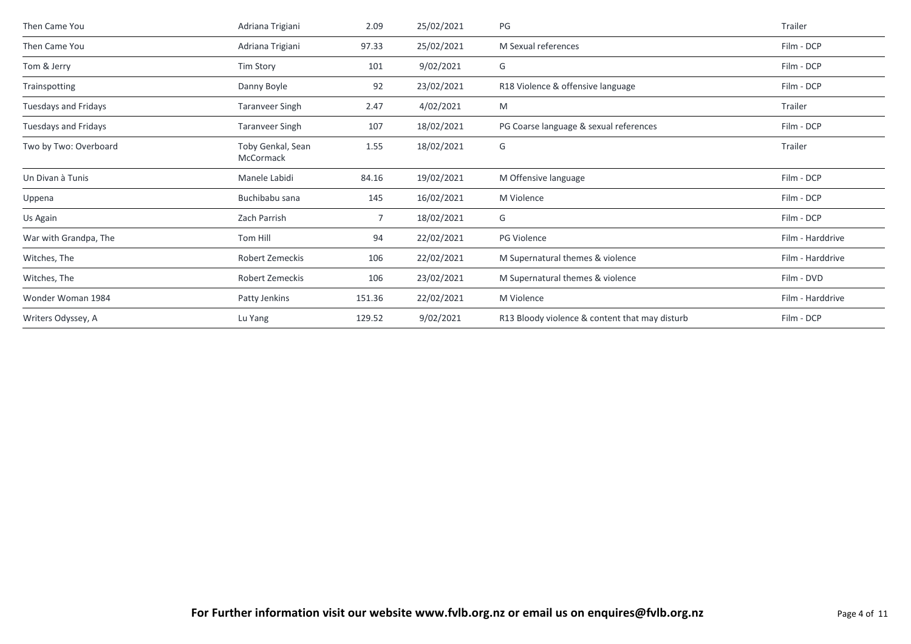| Then Came You         | Adriana Trigiani               | 2.09   | 25/02/2021 | PG                                             | Trailer          |
|-----------------------|--------------------------------|--------|------------|------------------------------------------------|------------------|
| Then Came You         | Adriana Trigiani               | 97.33  | 25/02/2021 | M Sexual references                            | Film - DCP       |
| Tom & Jerry           | Tim Story                      | 101    | 9/02/2021  | G                                              | Film - DCP       |
| Trainspotting         | Danny Boyle                    | 92     | 23/02/2021 | R18 Violence & offensive language              | Film - DCP       |
| Tuesdays and Fridays  | <b>Taranveer Singh</b>         | 2.47   | 4/02/2021  | M                                              | Trailer          |
| Tuesdays and Fridays  | <b>Taranveer Singh</b>         | 107    | 18/02/2021 | PG Coarse language & sexual references         | Film - DCP       |
| Two by Two: Overboard | Toby Genkal, Sean<br>McCormack | 1.55   | 18/02/2021 | G                                              | Trailer          |
| Un Divan à Tunis      | Manele Labidi                  | 84.16  | 19/02/2021 | M Offensive language                           | Film - DCP       |
| Uppena                | Buchibabu sana                 | 145    | 16/02/2021 | M Violence                                     | Film - DCP       |
| Us Again              | Zach Parrish                   | 7      | 18/02/2021 | G                                              | Film - DCP       |
| War with Grandpa, The | Tom Hill                       | 94     | 22/02/2021 | PG Violence                                    | Film - Harddrive |
| Witches, The          | Robert Zemeckis                | 106    | 22/02/2021 | M Supernatural themes & violence               | Film - Harddrive |
| Witches, The          | Robert Zemeckis                | 106    | 23/02/2021 | M Supernatural themes & violence               | Film - DVD       |
| Wonder Woman 1984     | Patty Jenkins                  | 151.36 | 22/02/2021 | M Violence                                     | Film - Harddrive |
| Writers Odyssey, A    | Lu Yang                        | 129.52 | 9/02/2021  | R13 Bloody violence & content that may disturb | Film - DCP       |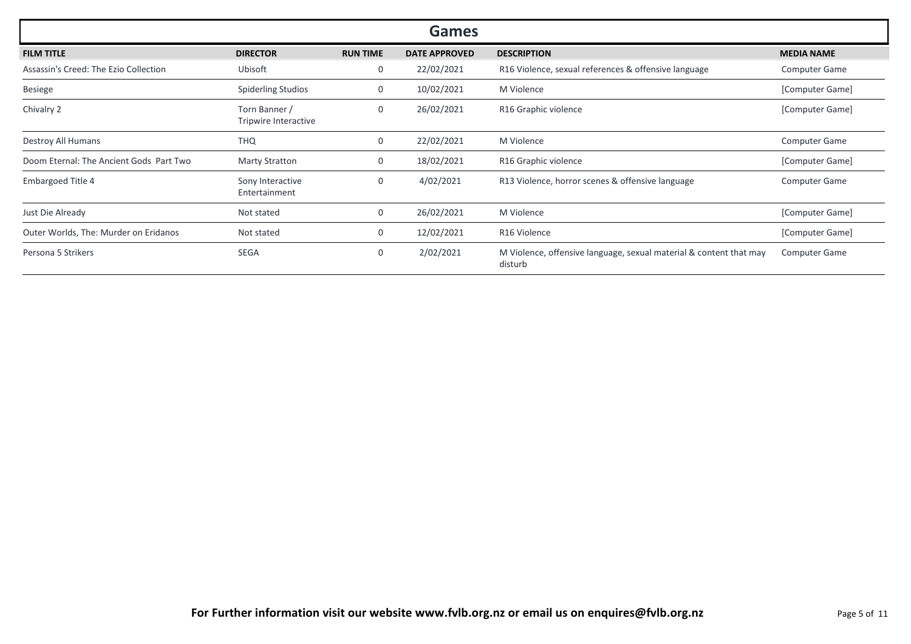| <b>Games</b>                            |                                       |                 |                      |                                                                               |                      |  |
|-----------------------------------------|---------------------------------------|-----------------|----------------------|-------------------------------------------------------------------------------|----------------------|--|
| <b>FILM TITLE</b>                       | <b>DIRECTOR</b>                       | <b>RUN TIME</b> | <b>DATE APPROVED</b> | <b>DESCRIPTION</b>                                                            | <b>MEDIA NAME</b>    |  |
| Assassin's Creed: The Ezio Collection   | Ubisoft                               | 0               | 22/02/2021           | R16 Violence, sexual references & offensive language                          | <b>Computer Game</b> |  |
| <b>Besiege</b>                          | <b>Spiderling Studios</b>             | 0               | 10/02/2021           | M Violence                                                                    | [Computer Game]      |  |
| Chivalry 2                              | Torn Banner /<br>Tripwire Interactive | 0               | 26/02/2021           | R16 Graphic violence                                                          | [Computer Game]      |  |
| Destroy All Humans                      | <b>THQ</b>                            | 0               | 22/02/2021           | M Violence                                                                    | <b>Computer Game</b> |  |
| Doom Eternal: The Ancient Gods Part Two | <b>Marty Stratton</b>                 | 0               | 18/02/2021           | R16 Graphic violence                                                          | [Computer Game]      |  |
| <b>Embargoed Title 4</b>                | Sony Interactive<br>Entertainment     | 0               | 4/02/2021            | R13 Violence, horror scenes & offensive language                              | <b>Computer Game</b> |  |
| Just Die Already                        | Not stated                            | 0               | 26/02/2021           | M Violence                                                                    | [Computer Game]      |  |
| Outer Worlds, The: Murder on Eridanos   | Not stated                            | 0               | 12/02/2021           | R16 Violence                                                                  | [Computer Game]      |  |
| Persona 5 Strikers                      | <b>SEGA</b>                           | 0               | 2/02/2021            | M Violence, offensive language, sexual material & content that may<br>disturb | <b>Computer Game</b> |  |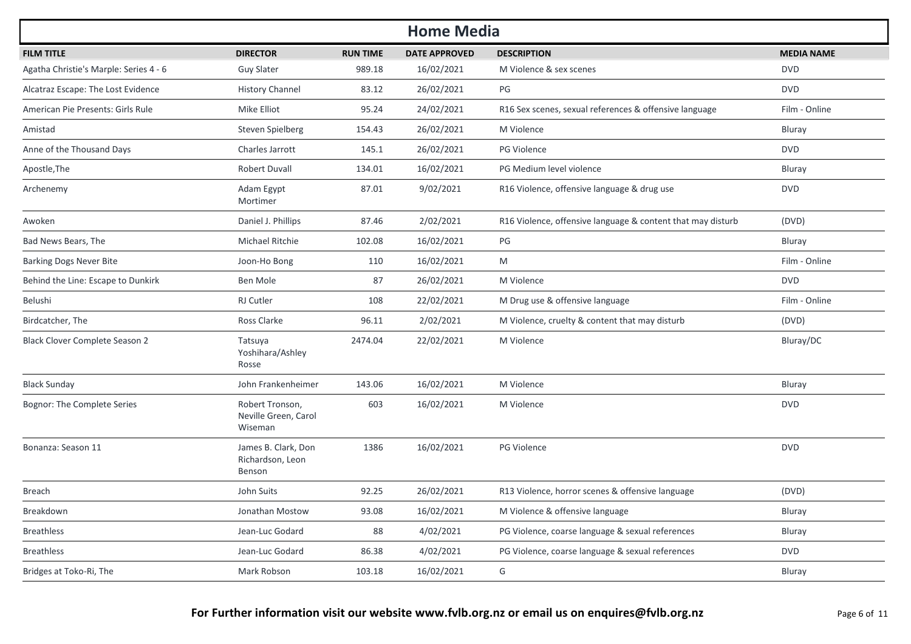|                                        |                                                    |                 | <b>Home Media</b>    |                                                             |                   |
|----------------------------------------|----------------------------------------------------|-----------------|----------------------|-------------------------------------------------------------|-------------------|
| <b>FILM TITLE</b>                      | <b>DIRECTOR</b>                                    | <b>RUN TIME</b> | <b>DATE APPROVED</b> | <b>DESCRIPTION</b>                                          | <b>MEDIA NAME</b> |
| Agatha Christie's Marple: Series 4 - 6 | <b>Guy Slater</b>                                  | 989.18          | 16/02/2021           | M Violence & sex scenes                                     | <b>DVD</b>        |
| Alcatraz Escape: The Lost Evidence     | <b>History Channel</b>                             | 83.12           | 26/02/2021           | PG                                                          | <b>DVD</b>        |
| American Pie Presents: Girls Rule      | Mike Elliot                                        | 95.24           | 24/02/2021           | R16 Sex scenes, sexual references & offensive language      | Film - Online     |
| Amistad                                | Steven Spielberg                                   | 154.43          | 26/02/2021           | M Violence                                                  | <b>Bluray</b>     |
| Anne of the Thousand Days              | Charles Jarrott                                    | 145.1           | 26/02/2021           | <b>PG Violence</b>                                          | <b>DVD</b>        |
| Apostle, The                           | Robert Duvall                                      | 134.01          | 16/02/2021           | PG Medium level violence                                    | Bluray            |
| Archenemy                              | Adam Egypt<br>Mortimer                             | 87.01           | 9/02/2021            | R16 Violence, offensive language & drug use                 | <b>DVD</b>        |
| Awoken                                 | Daniel J. Phillips                                 | 87.46           | 2/02/2021            | R16 Violence, offensive language & content that may disturb | (DVD)             |
| Bad News Bears, The                    | Michael Ritchie                                    | 102.08          | 16/02/2021           | PG                                                          | Bluray            |
| <b>Barking Dogs Never Bite</b>         | Joon-Ho Bong                                       | 110             | 16/02/2021           | M                                                           | Film - Online     |
| Behind the Line: Escape to Dunkirk     | Ben Mole                                           | 87              | 26/02/2021           | M Violence                                                  | <b>DVD</b>        |
| Belushi                                | <b>RJ Cutler</b>                                   | 108             | 22/02/2021           | M Drug use & offensive language                             | Film - Online     |
| Birdcatcher, The                       | Ross Clarke                                        | 96.11           | 2/02/2021            | M Violence, cruelty & content that may disturb              | (DVD)             |
| <b>Black Clover Complete Season 2</b>  | Tatsuya<br>Yoshihara/Ashley<br>Rosse               | 2474.04         | 22/02/2021           | M Violence                                                  | Bluray/DC         |
| <b>Black Sunday</b>                    | John Frankenheimer                                 | 143.06          | 16/02/2021           | M Violence                                                  | Bluray            |
| Bognor: The Complete Series            | Robert Tronson,<br>Neville Green, Carol<br>Wiseman | 603             | 16/02/2021           | M Violence                                                  | <b>DVD</b>        |
| Bonanza: Season 11                     | James B. Clark, Don<br>Richardson, Leon<br>Benson  | 1386            | 16/02/2021           | <b>PG Violence</b>                                          | <b>DVD</b>        |
| <b>Breach</b>                          | John Suits                                         | 92.25           | 26/02/2021           | R13 Violence, horror scenes & offensive language            | (DVD)             |
| Breakdown                              | Jonathan Mostow                                    | 93.08           | 16/02/2021           | M Violence & offensive language                             | Bluray            |
| <b>Breathless</b>                      | Jean-Luc Godard                                    | 88              | 4/02/2021            | PG Violence, coarse language & sexual references            | Bluray            |
| <b>Breathless</b>                      | Jean-Luc Godard                                    | 86.38           | 4/02/2021            | PG Violence, coarse language & sexual references            | <b>DVD</b>        |
| Bridges at Toko-Ri, The                | Mark Robson                                        | 103.18          | 16/02/2021           | G                                                           | Bluray            |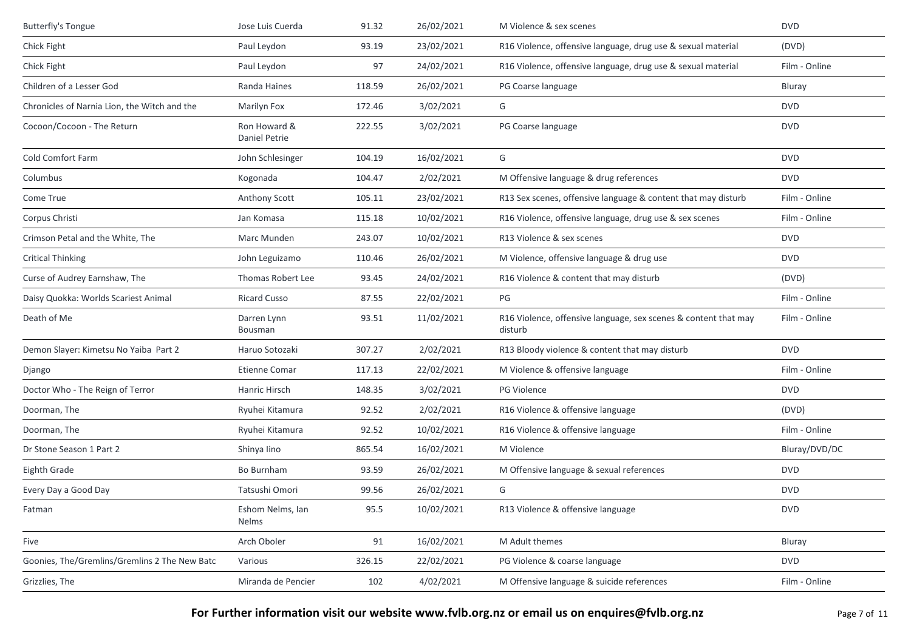| <b>Butterfly's Tongue</b>                     | Jose Luis Cuerda                 | 91.32  | 26/02/2021 | M Violence & sex scenes                                                    | <b>DVD</b>    |
|-----------------------------------------------|----------------------------------|--------|------------|----------------------------------------------------------------------------|---------------|
| Chick Fight                                   | Paul Leydon                      | 93.19  | 23/02/2021 | R16 Violence, offensive language, drug use & sexual material               | (DVD)         |
| Chick Fight                                   | Paul Leydon                      | 97     | 24/02/2021 | R16 Violence, offensive language, drug use & sexual material               | Film - Online |
| Children of a Lesser God                      | Randa Haines                     | 118.59 | 26/02/2021 | PG Coarse language                                                         | Bluray        |
| Chronicles of Narnia Lion, the Witch and the  | Marilyn Fox                      | 172.46 | 3/02/2021  | G                                                                          | <b>DVD</b>    |
| Cocoon/Cocoon - The Return                    | Ron Howard &<br>Daniel Petrie    | 222.55 | 3/02/2021  | PG Coarse language                                                         | <b>DVD</b>    |
| Cold Comfort Farm                             | John Schlesinger                 | 104.19 | 16/02/2021 | G                                                                          | <b>DVD</b>    |
| Columbus                                      | Kogonada                         | 104.47 | 2/02/2021  | M Offensive language & drug references                                     | <b>DVD</b>    |
| Come True                                     | Anthony Scott                    | 105.11 | 23/02/2021 | R13 Sex scenes, offensive language & content that may disturb              | Film - Online |
| Corpus Christi                                | Jan Komasa                       | 115.18 | 10/02/2021 | R16 Violence, offensive language, drug use & sex scenes                    | Film - Online |
| Crimson Petal and the White, The              | Marc Munden                      | 243.07 | 10/02/2021 | R13 Violence & sex scenes                                                  | <b>DVD</b>    |
| <b>Critical Thinking</b>                      | John Leguizamo                   | 110.46 | 26/02/2021 | M Violence, offensive language & drug use                                  | <b>DVD</b>    |
| Curse of Audrey Earnshaw, The                 | Thomas Robert Lee                | 93.45  | 24/02/2021 | R16 Violence & content that may disturb                                    | (DVD)         |
| Daisy Quokka: Worlds Scariest Animal          | <b>Ricard Cusso</b>              | 87.55  | 22/02/2021 | PG                                                                         | Film - Online |
| Death of Me                                   | Darren Lynn<br>Bousman           | 93.51  | 11/02/2021 | R16 Violence, offensive language, sex scenes & content that may<br>disturb | Film - Online |
| Demon Slayer: Kimetsu No Yaiba Part 2         | Haruo Sotozaki                   | 307.27 | 2/02/2021  | R13 Bloody violence & content that may disturb                             | <b>DVD</b>    |
| Django                                        | <b>Etienne Comar</b>             | 117.13 | 22/02/2021 | M Violence & offensive language                                            | Film - Online |
| Doctor Who - The Reign of Terror              | Hanric Hirsch                    | 148.35 | 3/02/2021  | PG Violence                                                                | <b>DVD</b>    |
| Doorman, The                                  | Ryuhei Kitamura                  | 92.52  | 2/02/2021  | R16 Violence & offensive language                                          | (DVD)         |
| Doorman, The                                  | Ryuhei Kitamura                  | 92.52  | 10/02/2021 | R16 Violence & offensive language                                          | Film - Online |
| Dr Stone Season 1 Part 2                      | Shinya lino                      | 865.54 | 16/02/2021 | M Violence                                                                 | Bluray/DVD/DC |
| Eighth Grade                                  | Bo Burnham                       | 93.59  | 26/02/2021 | M Offensive language & sexual references                                   | <b>DVD</b>    |
| Every Day a Good Day                          | Tatsushi Omori                   | 99.56  | 26/02/2021 | G                                                                          | <b>DVD</b>    |
| Fatman                                        | Eshom Nelms, Ian<br><b>Nelms</b> | 95.5   | 10/02/2021 | R13 Violence & offensive language                                          | <b>DVD</b>    |
| Five                                          | Arch Oboler                      | 91     | 16/02/2021 | M Adult themes                                                             | Bluray        |
| Goonies, The/Gremlins/Gremlins 2 The New Batc | Various                          | 326.15 | 22/02/2021 | PG Violence & coarse language                                              | <b>DVD</b>    |
| Grizzlies, The                                | Miranda de Pencier               | 102    | 4/02/2021  | M Offensive language & suicide references                                  | Film - Online |
|                                               |                                  |        |            |                                                                            |               |

**For Further information visit our website www.fvlb.org.nz or email us on enquires@fvlb.org.nz** Page 7 of 11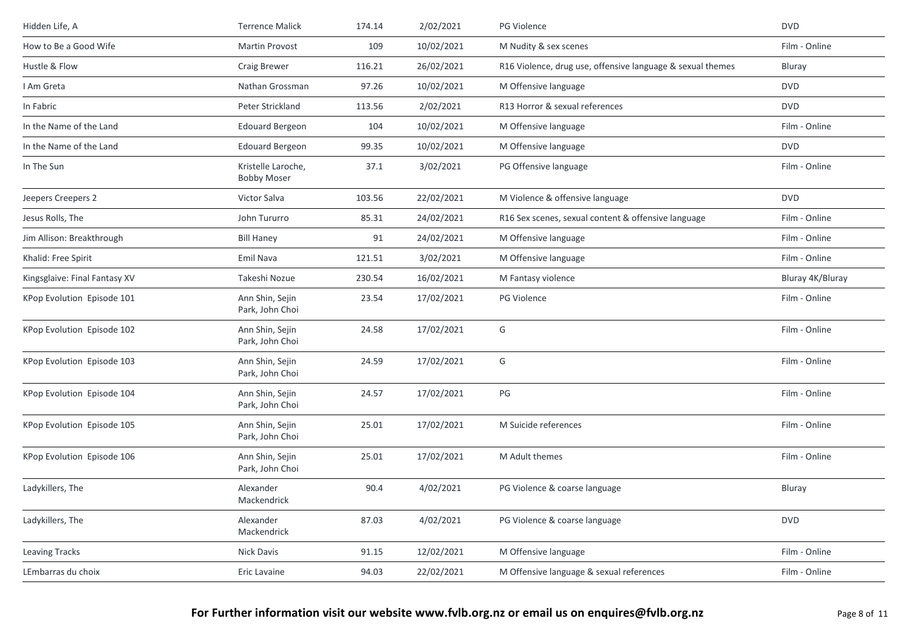| Hidden Life, A                | <b>Terrence Malick</b>                   | 174.14 | 2/02/2021  | PG Violence                                                | <b>DVD</b>       |
|-------------------------------|------------------------------------------|--------|------------|------------------------------------------------------------|------------------|
| How to Be a Good Wife         | Martin Provost                           | 109    | 10/02/2021 | M Nudity & sex scenes                                      | Film - Online    |
| Hustle & Flow                 | Craig Brewer                             | 116.21 | 26/02/2021 | R16 Violence, drug use, offensive language & sexual themes | Bluray           |
| I Am Greta                    | Nathan Grossman                          | 97.26  | 10/02/2021 | M Offensive language                                       | <b>DVD</b>       |
| In Fabric                     | Peter Strickland                         | 113.56 | 2/02/2021  | R13 Horror & sexual references                             | <b>DVD</b>       |
| In the Name of the Land       | <b>Edouard Bergeon</b>                   | 104    | 10/02/2021 | M Offensive language                                       | Film - Online    |
| In the Name of the Land       | <b>Edouard Bergeon</b>                   | 99.35  | 10/02/2021 | M Offensive language                                       | <b>DVD</b>       |
| In The Sun                    | Kristelle Laroche,<br><b>Bobby Moser</b> | 37.1   | 3/02/2021  | PG Offensive language                                      | Film - Online    |
| Jeepers Creepers 2            | Victor Salva                             | 103.56 | 22/02/2021 | M Violence & offensive language                            | <b>DVD</b>       |
| Jesus Rolls, The              | John Tururro                             | 85.31  | 24/02/2021 | R16 Sex scenes, sexual content & offensive language        | Film - Online    |
| Jim Allison: Breakthrough     | <b>Bill Haney</b>                        | 91     | 24/02/2021 | M Offensive language                                       | Film - Online    |
| Khalid: Free Spirit           | Emil Nava                                | 121.51 | 3/02/2021  | M Offensive language                                       | Film - Online    |
| Kingsglaive: Final Fantasy XV | Takeshi Nozue                            | 230.54 | 16/02/2021 | M Fantasy violence                                         | Bluray 4K/Bluray |
| KPop Evolution Episode 101    | Ann Shin, Sejin<br>Park, John Choi       | 23.54  | 17/02/2021 | <b>PG Violence</b>                                         | Film - Online    |
| KPop Evolution Episode 102    | Ann Shin, Sejin<br>Park. John Choi       | 24.58  | 17/02/2021 | G                                                          | Film - Online    |
| KPop Evolution Episode 103    | Ann Shin, Sejin<br>Park, John Choi       | 24.59  | 17/02/2021 | G                                                          | Film - Online    |
| KPop Evolution Episode 104    | Ann Shin, Sejin<br>Park, John Choi       | 24.57  | 17/02/2021 | PG                                                         | Film - Online    |
| KPop Evolution Episode 105    | Ann Shin, Sejin<br>Park, John Choi       | 25.01  | 17/02/2021 | M Suicide references                                       | Film - Online    |
| KPop Evolution Episode 106    | Ann Shin, Sejin<br>Park, John Choi       | 25.01  | 17/02/2021 | M Adult themes                                             | Film - Online    |
| Ladykillers, The              | Alexander<br>Mackendrick                 | 90.4   | 4/02/2021  | PG Violence & coarse language                              | Bluray           |
| Ladykillers, The              | Alexander<br>Mackendrick                 | 87.03  | 4/02/2021  | PG Violence & coarse language                              | <b>DVD</b>       |
| <b>Leaving Tracks</b>         | Nick Davis                               | 91.15  | 12/02/2021 | M Offensive language                                       | Film - Online    |
| LEmbarras du choix            | Eric Lavaine                             | 94.03  | 22/02/2021 | M Offensive language & sexual references                   | Film - Online    |
|                               |                                          |        |            |                                                            |                  |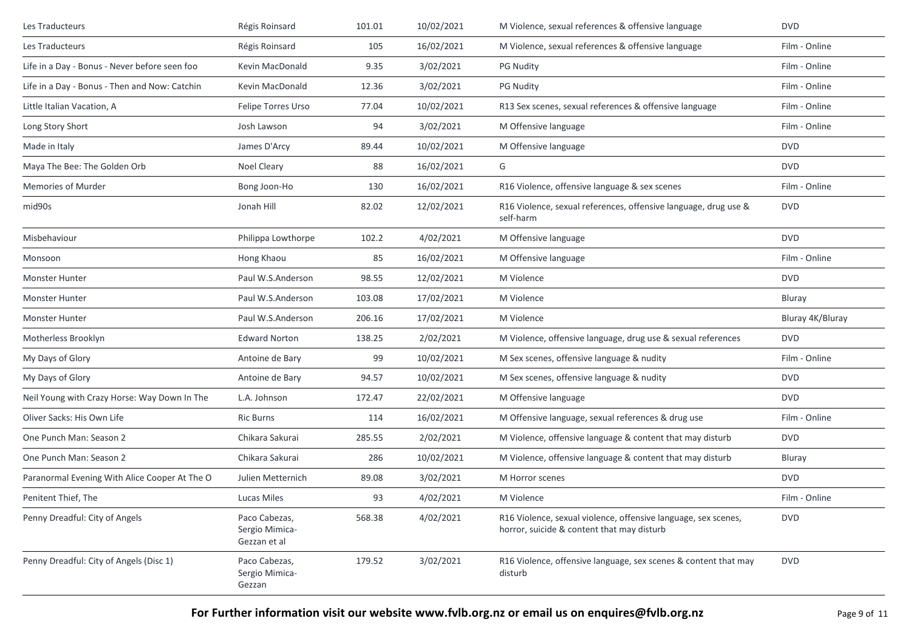| Les Traducteurs                               | Régis Roinsard                                  | 101.01 | 10/02/2021 | M Violence, sexual references & offensive language                                                           | <b>DVD</b>       |
|-----------------------------------------------|-------------------------------------------------|--------|------------|--------------------------------------------------------------------------------------------------------------|------------------|
| Les Traducteurs                               | Régis Roinsard                                  | 105    | 16/02/2021 | M Violence, sexual references & offensive language                                                           | Film - Online    |
| Life in a Day - Bonus - Never before seen foo | Kevin MacDonald                                 | 9.35   | 3/02/2021  | <b>PG Nudity</b>                                                                                             | Film - Online    |
| Life in a Day - Bonus - Then and Now: Catchin | Kevin MacDonald                                 | 12.36  | 3/02/2021  | <b>PG Nudity</b>                                                                                             | Film - Online    |
| Little Italian Vacation, A                    | Felipe Torres Urso                              | 77.04  | 10/02/2021 | R13 Sex scenes, sexual references & offensive language                                                       | Film - Online    |
| Long Story Short                              | Josh Lawson                                     | 94     | 3/02/2021  | M Offensive language                                                                                         | Film - Online    |
| Made in Italy                                 | James D'Arcy                                    | 89.44  | 10/02/2021 | M Offensive language                                                                                         | <b>DVD</b>       |
| Maya The Bee: The Golden Orb                  | Noel Cleary                                     | 88     | 16/02/2021 | G                                                                                                            | <b>DVD</b>       |
| Memories of Murder                            | Bong Joon-Ho                                    | 130    | 16/02/2021 | R16 Violence, offensive language & sex scenes                                                                | Film - Online    |
| mid90s                                        | Jonah Hill                                      | 82.02  | 12/02/2021 | R16 Violence, sexual references, offensive language, drug use &<br>self-harm                                 | <b>DVD</b>       |
| Misbehaviour                                  | Philippa Lowthorpe                              | 102.2  | 4/02/2021  | M Offensive language                                                                                         | <b>DVD</b>       |
| Monsoon                                       | Hong Khaou                                      | 85     | 16/02/2021 | M Offensive language                                                                                         | Film - Online    |
| <b>Monster Hunter</b>                         | Paul W.S.Anderson                               | 98.55  | 12/02/2021 | M Violence                                                                                                   | <b>DVD</b>       |
| <b>Monster Hunter</b>                         | Paul W.S.Anderson                               | 103.08 | 17/02/2021 | M Violence                                                                                                   | Bluray           |
| Monster Hunter                                | Paul W.S.Anderson                               | 206.16 | 17/02/2021 | M Violence                                                                                                   | Bluray 4K/Bluray |
| Motherless Brooklyn                           | <b>Edward Norton</b>                            | 138.25 | 2/02/2021  | M Violence, offensive language, drug use & sexual references                                                 | <b>DVD</b>       |
| My Days of Glory                              | Antoine de Bary                                 | 99     | 10/02/2021 | M Sex scenes, offensive language & nudity                                                                    | Film - Online    |
| My Days of Glory                              | Antoine de Bary                                 | 94.57  | 10/02/2021 | M Sex scenes, offensive language & nudity                                                                    | <b>DVD</b>       |
| Neil Young with Crazy Horse: Way Down In The  | L.A. Johnson                                    | 172.47 | 22/02/2021 | M Offensive language                                                                                         | <b>DVD</b>       |
| Oliver Sacks: His Own Life                    | <b>Ric Burns</b>                                | 114    | 16/02/2021 | M Offensive language, sexual references & drug use                                                           | Film - Online    |
| One Punch Man: Season 2                       | Chikara Sakurai                                 | 285.55 | 2/02/2021  | M Violence, offensive language & content that may disturb                                                    | <b>DVD</b>       |
| One Punch Man: Season 2                       | Chikara Sakurai                                 | 286    | 10/02/2021 | M Violence, offensive language & content that may disturb                                                    | Bluray           |
| Paranormal Evening With Alice Cooper At The O | Julien Metternich                               | 89.08  | 3/02/2021  | M Horror scenes                                                                                              | <b>DVD</b>       |
| Penitent Thief, The                           | Lucas Miles                                     | 93     | 4/02/2021  | M Violence                                                                                                   | Film - Online    |
| Penny Dreadful: City of Angels                | Paco Cabezas,<br>Sergio Mimica-<br>Gezzan et al | 568.38 | 4/02/2021  | R16 Violence, sexual violence, offensive language, sex scenes,<br>horror, suicide & content that may disturb | <b>DVD</b>       |
| Penny Dreadful: City of Angels (Disc 1)       | Paco Cabezas,<br>Sergio Mimica-<br>Gezzan       | 179.52 | 3/02/2021  | R16 Violence, offensive language, sex scenes & content that may<br>disturb                                   | <b>DVD</b>       |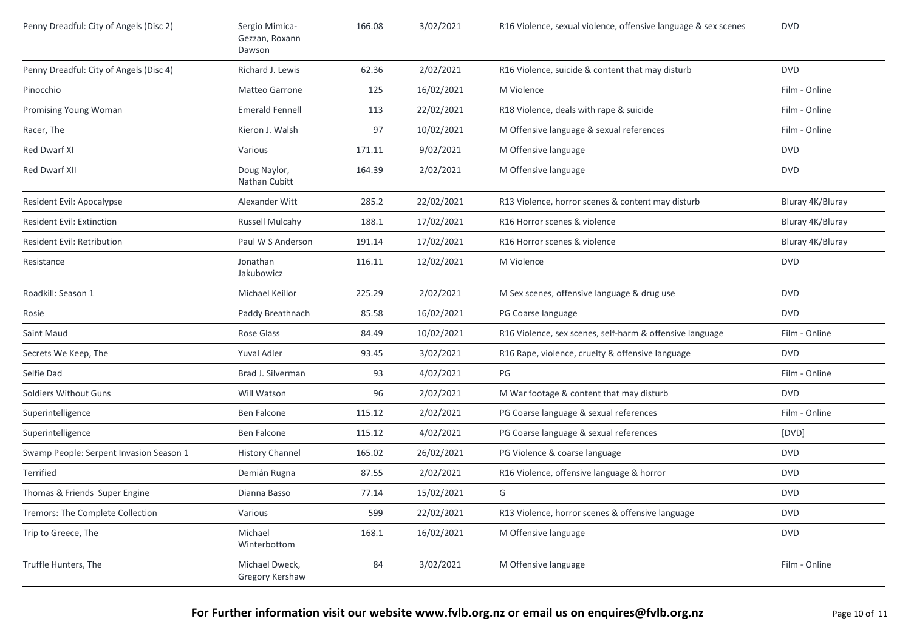| Penny Dreadful: City of Angels (Disc 2) | Sergio Mimica-<br>Gezzan, Roxann<br>Dawson | 166.08 | 3/02/2021  | R16 Violence, sexual violence, offensive language & sex scenes | <b>DVD</b>       |
|-----------------------------------------|--------------------------------------------|--------|------------|----------------------------------------------------------------|------------------|
| Penny Dreadful: City of Angels (Disc 4) | Richard J. Lewis                           | 62.36  | 2/02/2021  | R16 Violence, suicide & content that may disturb               | <b>DVD</b>       |
| Pinocchio                               | Matteo Garrone                             | 125    | 16/02/2021 | M Violence                                                     | Film - Online    |
| Promising Young Woman                   | <b>Emerald Fennell</b>                     | 113    | 22/02/2021 | R18 Violence, deals with rape & suicide                        | Film - Online    |
| Racer, The                              | Kieron J. Walsh                            | 97     | 10/02/2021 | M Offensive language & sexual references                       | Film - Online    |
| Red Dwarf XI                            | Various                                    | 171.11 | 9/02/2021  | M Offensive language                                           | <b>DVD</b>       |
| Red Dwarf XII                           | Doug Naylor,<br>Nathan Cubitt              | 164.39 | 2/02/2021  | M Offensive language                                           | <b>DVD</b>       |
| Resident Evil: Apocalypse               | Alexander Witt                             | 285.2  | 22/02/2021 | R13 Violence, horror scenes & content may disturb              | Bluray 4K/Bluray |
| Resident Evil: Extinction               | Russell Mulcahy                            | 188.1  | 17/02/2021 | R16 Horror scenes & violence                                   | Bluray 4K/Bluray |
| Resident Evil: Retribution              | Paul W S Anderson                          | 191.14 | 17/02/2021 | R16 Horror scenes & violence                                   | Bluray 4K/Bluray |
| Resistance                              | Jonathan<br>Jakubowicz                     | 116.11 | 12/02/2021 | M Violence                                                     | <b>DVD</b>       |
| Roadkill: Season 1                      | Michael Keillor                            | 225.29 | 2/02/2021  | M Sex scenes, offensive language & drug use                    | <b>DVD</b>       |
| Rosie                                   | Paddy Breathnach                           | 85.58  | 16/02/2021 | PG Coarse language                                             | <b>DVD</b>       |
| Saint Maud                              | Rose Glass                                 | 84.49  | 10/02/2021 | R16 Violence, sex scenes, self-harm & offensive language       | Film - Online    |
| Secrets We Keep, The                    | Yuval Adler                                | 93.45  | 3/02/2021  | R16 Rape, violence, cruelty & offensive language               | <b>DVD</b>       |
| Selfie Dad                              | Brad J. Silverman                          | 93     | 4/02/2021  | PG                                                             | Film - Online    |
| <b>Soldiers Without Guns</b>            | Will Watson                                | 96     | 2/02/2021  | M War footage & content that may disturb                       | <b>DVD</b>       |
| Superintelligence                       | Ben Falcone                                | 115.12 | 2/02/2021  | PG Coarse language & sexual references                         | Film - Online    |
| Superintelligence                       | Ben Falcone                                | 115.12 | 4/02/2021  | PG Coarse language & sexual references                         | [DVD]            |
| Swamp People: Serpent Invasion Season 1 | <b>History Channel</b>                     | 165.02 | 26/02/2021 | PG Violence & coarse language                                  | <b>DVD</b>       |
| Terrified                               | Demián Rugna                               | 87.55  | 2/02/2021  | R16 Violence, offensive language & horror                      | <b>DVD</b>       |
| Thomas & Friends Super Engine           | Dianna Basso                               | 77.14  | 15/02/2021 | G                                                              | <b>DVD</b>       |
| Tremors: The Complete Collection        | Various                                    | 599    | 22/02/2021 | R13 Violence, horror scenes & offensive language               | <b>DVD</b>       |
| Trip to Greece, The                     | Michael<br>Winterbottom                    | 168.1  | 16/02/2021 | M Offensive language                                           | <b>DVD</b>       |
| Truffle Hunters, The                    | Michael Dweck,<br>Gregory Kershaw          | 84     | 3/02/2021  | M Offensive language                                           | Film - Online    |